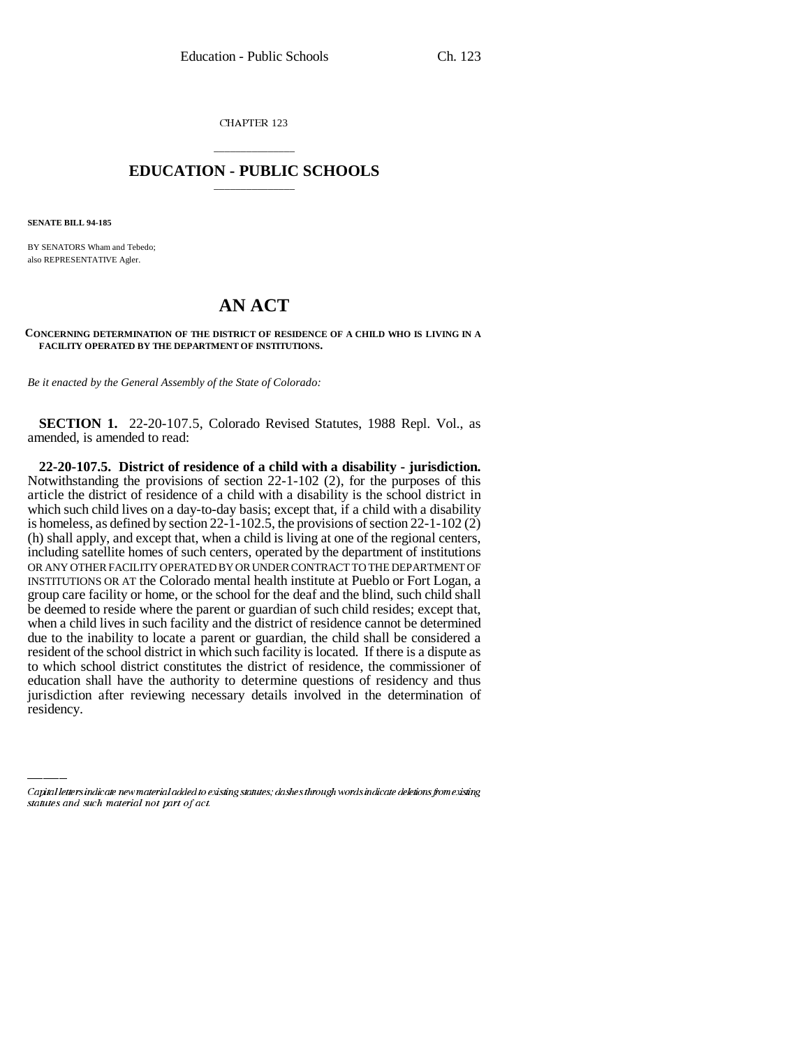CHAPTER 123

## \_\_\_\_\_\_\_\_\_\_\_\_\_\_\_ **EDUCATION - PUBLIC SCHOOLS** \_\_\_\_\_\_\_\_\_\_\_\_\_\_\_

**SENATE BILL 94-185**

BY SENATORS Wham and Tebedo; also REPRESENTATIVE Agler.

## **AN ACT**

## **CONCERNING DETERMINATION OF THE DISTRICT OF RESIDENCE OF A CHILD WHO IS LIVING IN A FACILITY OPERATED BY THE DEPARTMENT OF INSTITUTIONS.**

*Be it enacted by the General Assembly of the State of Colorado:*

**SECTION 1.** 22-20-107.5, Colorado Revised Statutes, 1988 Repl. Vol., as amended, is amended to read:

education shall have the authority to determine questions of residency and thus **22-20-107.5. District of residence of a child with a disability - jurisdiction.** Notwithstanding the provisions of section 22-1-102 (2), for the purposes of this article the district of residence of a child with a disability is the school district in which such child lives on a day-to-day basis; except that, if a child with a disability is homeless, as defined by section 22-1-102.5, the provisions of section 22-1-102 (2) (h) shall apply, and except that, when a child is living at one of the regional centers, including satellite homes of such centers, operated by the department of institutions OR ANY OTHER FACILITY OPERATED BY OR UNDER CONTRACT TO THE DEPARTMENT OF INSTITUTIONS OR AT the Colorado mental health institute at Pueblo or Fort Logan, a group care facility or home, or the school for the deaf and the blind, such child shall be deemed to reside where the parent or guardian of such child resides; except that, when a child lives in such facility and the district of residence cannot be determined due to the inability to locate a parent or guardian, the child shall be considered a resident of the school district in which such facility is located. If there is a dispute as to which school district constitutes the district of residence, the commissioner of jurisdiction after reviewing necessary details involved in the determination of residency.

Capital letters indicate new material added to existing statutes; dashes through words indicate deletions from existing statutes and such material not part of act.